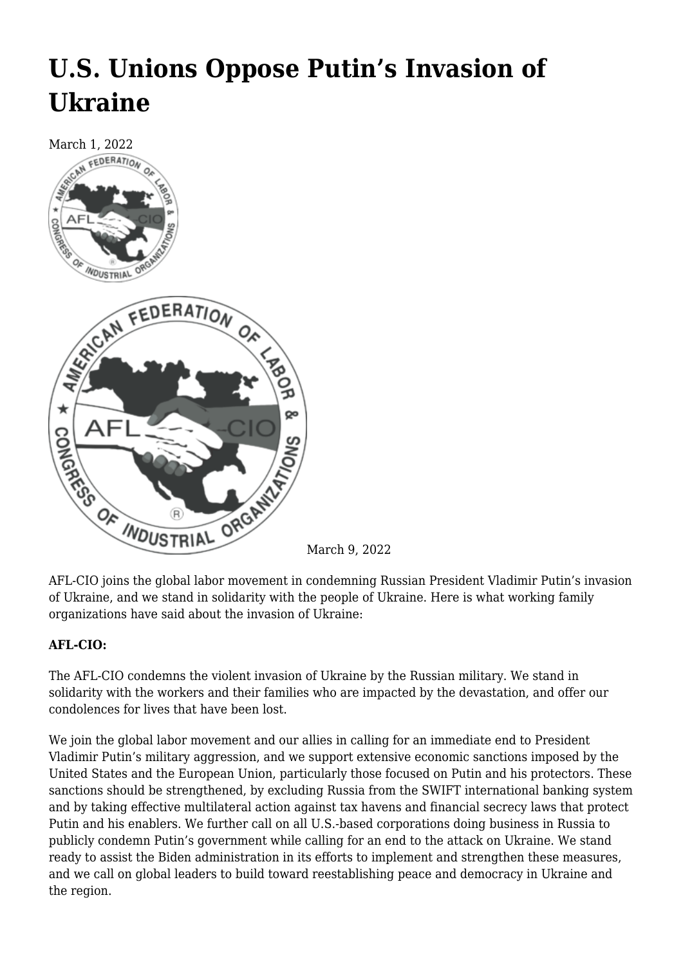# **[U.S. Unions Oppose Putin's Invasion of](https://newpol.org/u-s-unions-oppose-putins-invasion-of-ukraine/) [Ukraine](https://newpol.org/u-s-unions-oppose-putins-invasion-of-ukraine/)**



March 9, 2022

AFL-CIO joins the global labor movement in condemning Russian President Vladimir Putin's invasion of Ukraine, and we stand in solidarity with the people of Ukraine. Here is what working family organizations have said about the invasion of Ukraine:

# **AFL-CIO:**

The AFL-CIO condemns the violent invasion of Ukraine by the Russian military. We stand in solidarity with the workers and their families who are impacted by the devastation, and offer our condolences for lives that have been lost.

We join the global labor movement and our allies in calling for an immediate end to President Vladimir Putin's military aggression, and we support extensive economic sanctions imposed by the United States and the European Union, particularly those focused on Putin and his protectors. These sanctions should be strengthened, by excluding Russia from the SWIFT international banking system and by taking effective multilateral action against tax havens and financial secrecy laws that protect Putin and his enablers. We further call on all U.S.-based corporations doing business in Russia to publicly condemn Putin's government while calling for an end to the attack on Ukraine. We stand ready to assist the Biden administration in its efforts to implement and strengthen these measures, and we call on global leaders to build toward reestablishing peace and democracy in Ukraine and the region.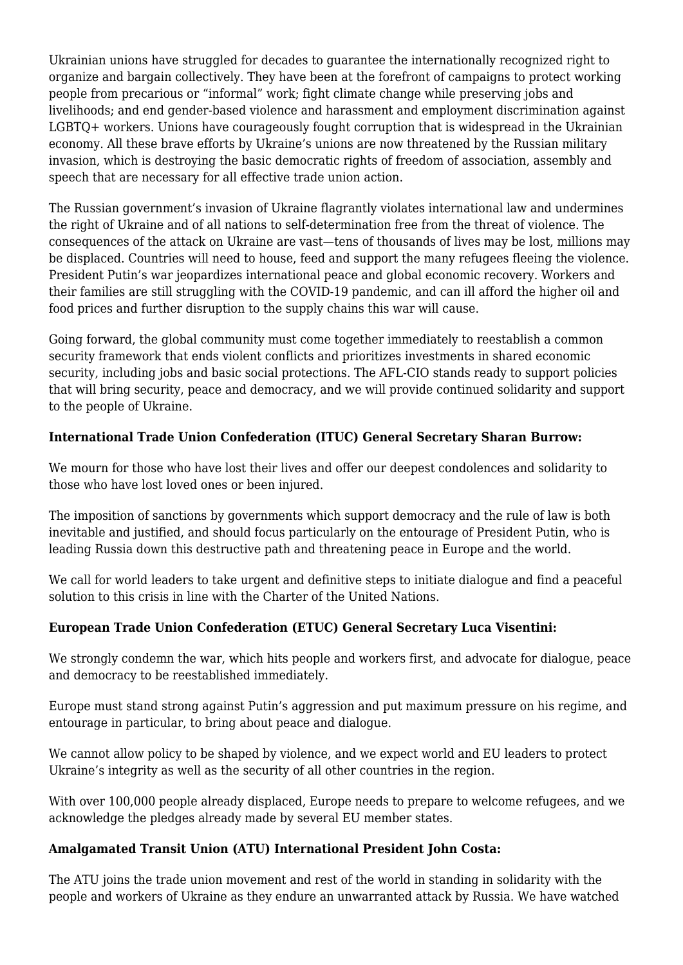Ukrainian unions have struggled for decades to guarantee the internationally recognized right to organize and bargain collectively. They have been at the forefront of campaigns to protect working people from precarious or "informal" work; fight climate change while preserving jobs and livelihoods; and end gender-based violence and harassment and employment discrimination against LGBTQ+ workers. Unions have courageously fought corruption that is widespread in the Ukrainian economy. All these brave efforts by Ukraine's unions are now threatened by the Russian military invasion, which is destroying the basic democratic rights of freedom of association, assembly and speech that are necessary for all effective trade union action.

The Russian government's invasion of Ukraine flagrantly violates international law and undermines the right of Ukraine and of all nations to self-determination free from the threat of violence. The consequences of the attack on Ukraine are vast—tens of thousands of lives may be lost, millions may be displaced. Countries will need to house, feed and support the many refugees fleeing the violence. President Putin's war jeopardizes international peace and global economic recovery. Workers and their families are still struggling with the COVID-19 pandemic, and can ill afford the higher oil and food prices and further disruption to the supply chains this war will cause.

Going forward, the global community must come together immediately to reestablish a common security framework that ends violent conflicts and prioritizes investments in shared economic security, including jobs and basic social protections. The AFL-CIO stands ready to support policies that will bring security, peace and democracy, and we will provide continued solidarity and support to the people of Ukraine.

# **International Trade Union Confederation (ITUC) General Secretary Sharan Burrow:**

We mourn for those who have lost their lives and offer our deepest condolences and solidarity to those who have lost loved ones or been injured.

The imposition of sanctions by governments which support democracy and the rule of law is both inevitable and justified, and should focus particularly on the entourage of President Putin, who is leading Russia down this destructive path and threatening peace in Europe and the world.

We call for world leaders to take urgent and definitive steps to initiate dialogue and find a peaceful solution to this crisis in line with the Charter of the United Nations.

# **European Trade Union Confederation (ETUC) General Secretary Luca Visentini:**

We strongly condemn the war, which hits people and workers first, and advocate for dialogue, peace and democracy to be reestablished immediately.

Europe must stand strong against Putin's aggression and put maximum pressure on his regime, and entourage in particular, to bring about peace and dialogue.

We cannot allow policy to be shaped by violence, and we expect world and EU leaders to protect Ukraine's integrity as well as the security of all other countries in the region.

With over 100,000 people already displaced, Europe needs to prepare to welcome refugees, and we acknowledge the pledges already made by several EU member states.

# **Amalgamated Transit Union (ATU) International President John Costa:**

The ATU joins the trade union movement and rest of the world in standing in solidarity with the people and workers of Ukraine as they endure an unwarranted attack by Russia. We have watched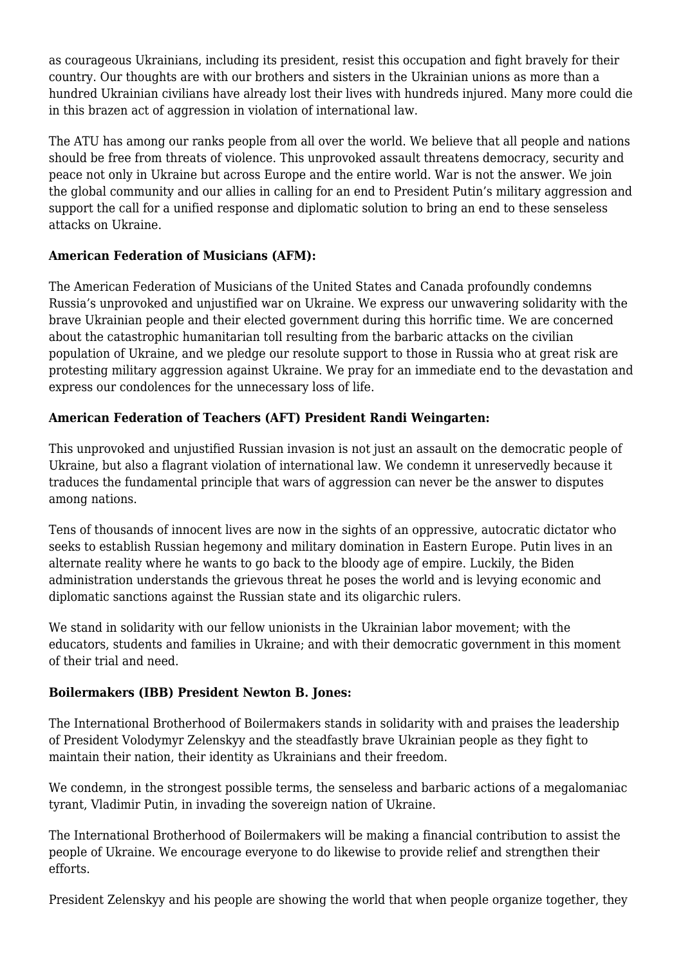as courageous Ukrainians, including its president, resist this occupation and fight bravely for their country. Our thoughts are with our brothers and sisters in the Ukrainian unions as more than a hundred Ukrainian civilians have already lost their lives with hundreds injured. Many more could die in this brazen act of aggression in violation of international law.

The ATU has among our ranks people from all over the world. We believe that all people and nations should be free from threats of violence. This unprovoked assault threatens democracy, security and peace not only in Ukraine but across Europe and the entire world. War is not the answer. We join the global community and our allies in calling for an end to President Putin's military aggression and support the call for a unified response and diplomatic solution to bring an end to these senseless attacks on Ukraine.

# **American Federation of Musicians (AFM):**

The American Federation of Musicians of the United States and Canada profoundly condemns Russia's unprovoked and unjustified war on Ukraine. We express our unwavering solidarity with the brave Ukrainian people and their elected government during this horrific time. We are concerned about the catastrophic humanitarian toll resulting from the barbaric attacks on the civilian population of Ukraine, and we pledge our resolute support to those in Russia who at great risk are protesting military aggression against Ukraine. We pray for an immediate end to the devastation and express our condolences for the unnecessary loss of life.

# **American Federation of Teachers (AFT) President Randi Weingarten:**

This unprovoked and unjustified Russian invasion is not just an assault on the democratic people of Ukraine, but also a flagrant violation of international law. We condemn it unreservedly because it traduces the fundamental principle that wars of aggression can never be the answer to disputes among nations.

Tens of thousands of innocent lives are now in the sights of an oppressive, autocratic dictator who seeks to establish Russian hegemony and military domination in Eastern Europe. Putin lives in an alternate reality where he wants to go back to the bloody age of empire. Luckily, the Biden administration understands the grievous threat he poses the world and is levying economic and diplomatic sanctions against the Russian state and its oligarchic rulers.

We stand in solidarity with our fellow unionists in the Ukrainian labor movement; with the educators, students and families in Ukraine; and with their democratic government in this moment of their trial and need.

# **Boilermakers (IBB) President Newton B. Jones:**

The International Brotherhood of Boilermakers stands in solidarity with and praises the leadership of President Volodymyr Zelenskyy and the steadfastly brave Ukrainian people as they fight to maintain their nation, their identity as Ukrainians and their freedom.

We condemn, in the strongest possible terms, the senseless and barbaric actions of a megalomaniac tyrant, Vladimir Putin, in invading the sovereign nation of Ukraine.

The International Brotherhood of Boilermakers will be making a financial contribution to assist the people of Ukraine. We encourage everyone to do likewise to provide relief and strengthen their efforts.

President Zelenskyy and his people are showing the world that when people organize together, they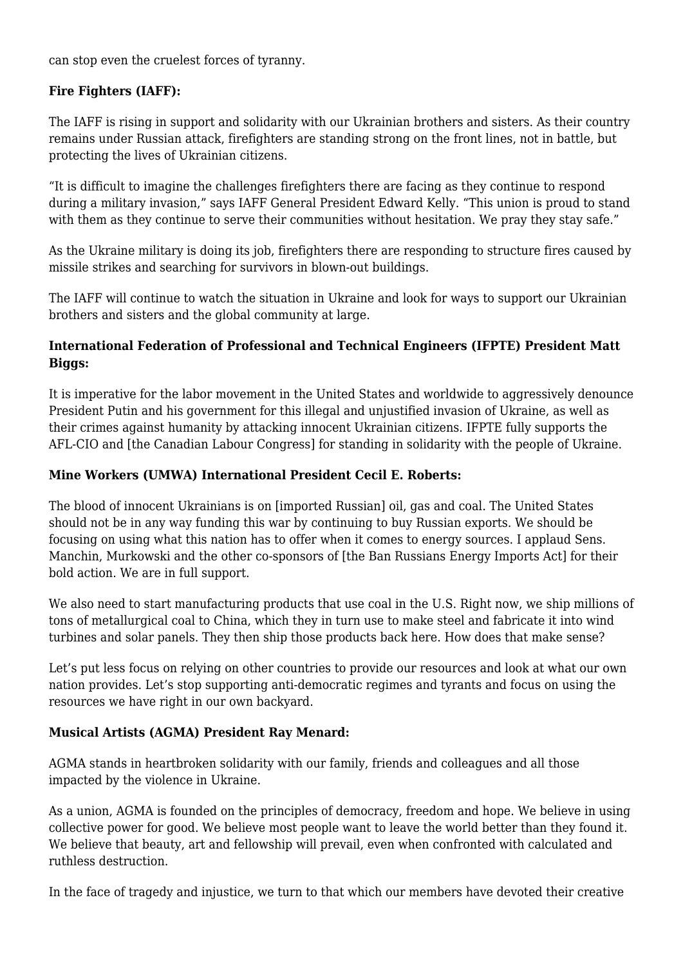can stop even the cruelest forces of tyranny.

#### **Fire Fighters (IAFF):**

The IAFF is rising in support and solidarity with our Ukrainian brothers and sisters. As their country remains under Russian attack, firefighters are standing strong on the front lines, not in battle, but protecting the lives of Ukrainian citizens.

"It is difficult to imagine the challenges firefighters there are facing as they continue to respond during a military invasion," says IAFF General President Edward Kelly. "This union is proud to stand with them as they continue to serve their communities without hesitation. We pray they stay safe."

As the Ukraine military is doing its job, firefighters there are responding to structure fires caused by missile strikes and searching for survivors in blown-out buildings.

The IAFF will continue to watch the situation in Ukraine and look for ways to support our Ukrainian brothers and sisters and the global community at large.

# **International Federation of Professional and Technical Engineers (IFPTE) President Matt Biggs:**

It is imperative for the labor movement in the United States and worldwide to aggressively denounce President Putin and his government for this illegal and unjustified invasion of Ukraine, as well as their crimes against humanity by attacking innocent Ukrainian citizens. IFPTE fully supports the AFL-CIO and [the Canadian Labour Congress] for standing in solidarity with the people of Ukraine.

#### **Mine Workers (UMWA) International President Cecil E. Roberts:**

The blood of innocent Ukrainians is on [imported Russian] oil, gas and coal. The United States should not be in any way funding this war by continuing to buy Russian exports. We should be focusing on using what this nation has to offer when it comes to energy sources. I applaud Sens. Manchin, Murkowski and the other co-sponsors of [the Ban Russians Energy Imports Act] for their bold action. We are in full support.

We also need to start manufacturing products that use coal in the U.S. Right now, we ship millions of tons of metallurgical coal to China, which they in turn use to make steel and fabricate it into wind turbines and solar panels. They then ship those products back here. How does that make sense?

Let's put less focus on relying on other countries to provide our resources and look at what our own nation provides. Let's stop supporting anti-democratic regimes and tyrants and focus on using the resources we have right in our own backyard.

# **Musical Artists (AGMA) President Ray Menard:**

AGMA stands in heartbroken solidarity with our family, friends and colleagues and all those impacted by the violence in Ukraine.

As a union, AGMA is founded on the principles of democracy, freedom and hope. We believe in using collective power for good. We believe most people want to leave the world better than they found it. We believe that beauty, art and fellowship will prevail, even when confronted with calculated and ruthless destruction.

In the face of tragedy and injustice, we turn to that which our members have devoted their creative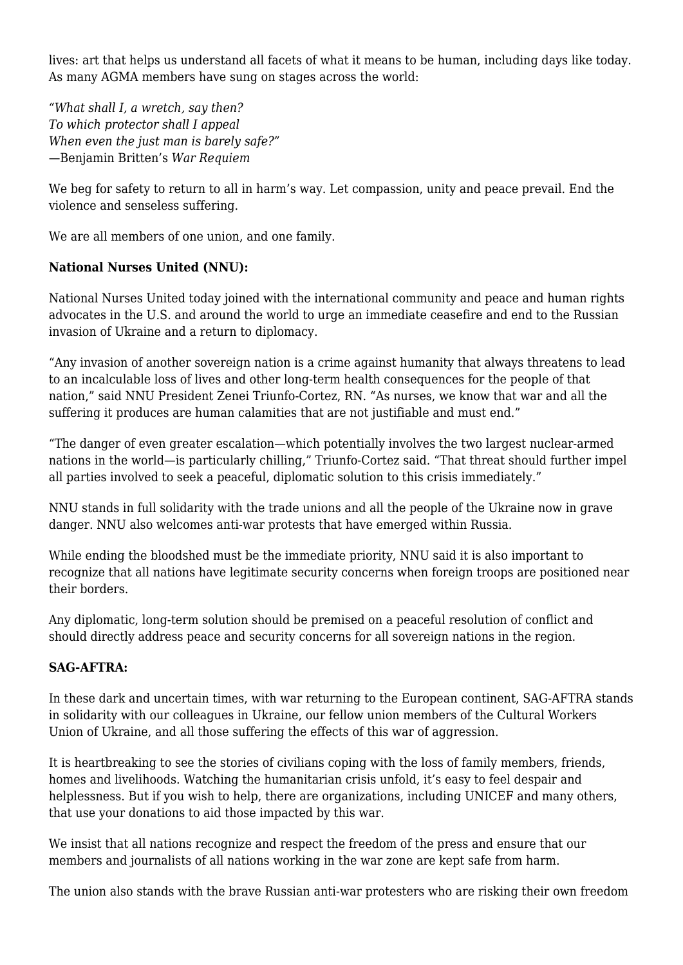lives: art that helps us understand all facets of what it means to be human, including days like today. As many AGMA members have sung on stages across the world:

*"What shall I, a wretch, say then? To which protector shall I appeal When even the just man is barely safe?"* —Benjamin Britten's *War Requiem*

We beg for safety to return to all in harm's way. Let compassion, unity and peace prevail. End the violence and senseless suffering.

We are all members of one union, and one family.

#### **National Nurses United (NNU):**

National Nurses United today joined with the international community and peace and human rights advocates in the U.S. and around the world to urge an immediate ceasefire and end to the Russian invasion of Ukraine and a return to diplomacy.

"Any invasion of another sovereign nation is a crime against humanity that always threatens to lead to an incalculable loss of lives and other long-term health consequences for the people of that nation," said NNU President Zenei Triunfo-Cortez, RN. "As nurses, we know that war and all the suffering it produces are human calamities that are not justifiable and must end."

"The danger of even greater escalation—which potentially involves the two largest nuclear-armed nations in the world—is particularly chilling," Triunfo-Cortez said. "That threat should further impel all parties involved to seek a peaceful, diplomatic solution to this crisis immediately."

NNU stands in full solidarity with the trade unions and all the people of the Ukraine now in grave danger. NNU also welcomes anti-war protests that have emerged within Russia.

While ending the bloodshed must be the immediate priority, NNU said it is also important to recognize that all nations have legitimate security concerns when foreign troops are positioned near their borders.

Any diplomatic, long-term solution should be premised on a peaceful resolution of conflict and should directly address peace and security concerns for all sovereign nations in the region.

#### **SAG-AFTRA:**

In these dark and uncertain times, with war returning to the European continent, SAG-AFTRA stands in solidarity with our colleagues in Ukraine, our fellow union members of the Cultural Workers Union of Ukraine, and all those suffering the effects of this war of aggression.

It is heartbreaking to see the stories of civilians coping with the loss of family members, friends, homes and livelihoods. Watching the humanitarian crisis unfold, it's easy to feel despair and helplessness. But if you wish to help, there are organizations, including UNICEF and many others, that use your donations to aid those impacted by this war.

We insist that all nations recognize and respect the freedom of the press and ensure that our members and journalists of all nations working in the war zone are kept safe from harm.

The union also stands with the brave Russian anti-war protesters who are risking their own freedom